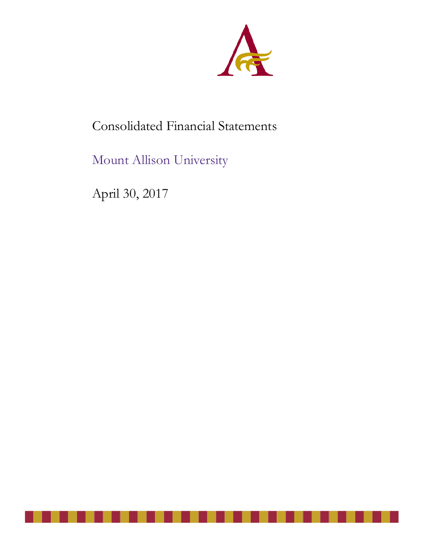

# Consolidated Financial Statements

Mount Allison University

April 30, 2017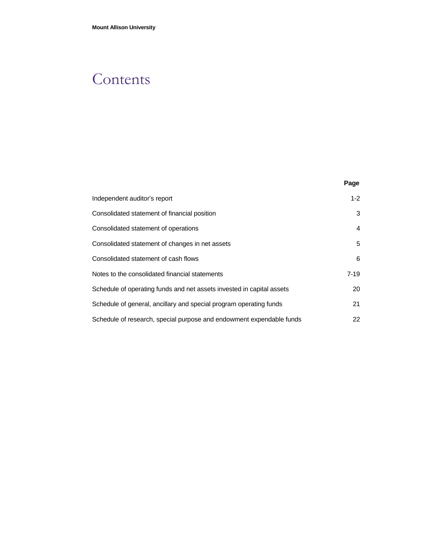# **Contents**

|                                                                       | Page   |
|-----------------------------------------------------------------------|--------|
| Independent auditor's report                                          | $1-2$  |
| Consolidated statement of financial position                          | 3      |
| Consolidated statement of operations                                  | 4      |
| Consolidated statement of changes in net assets                       | 5      |
| Consolidated statement of cash flows                                  | 6      |
| Notes to the consolidated financial statements                        | $7-19$ |
| Schedule of operating funds and net assets invested in capital assets | 20     |
| Schedule of general, ancillary and special program operating funds    | 21     |
| Schedule of research, special purpose and endowment expendable funds  | 22     |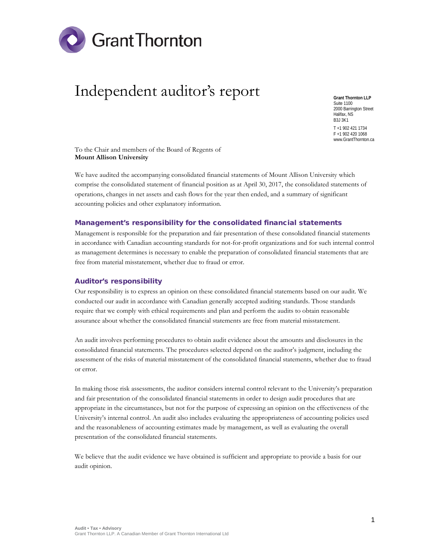

# Independent auditor's report

**Grant Thornton LLP** Suite 1100 2000 Barrington Street Halifax, NS B3J 3K1 T +1 902 421 1734 F +1 902 420 1068 www.GrantThornton.ca

To the Chair and members of the Board of Regents of **Mount Allison University**

We have audited the accompanying consolidated financial statements of Mount Allison University which comprise the consolidated statement of financial position as at April 30, 2017, the consolidated statements of operations, changes in net assets and cash flows for the year then ended, and a summary of significant accounting policies and other explanatory information.

#### Management's responsibility for the consolidated financial statements

Management is responsible for the preparation and fair presentation of these consolidated financial statements in accordance with Canadian accounting standards for not-for-profit organizations and for such internal control as management determines is necessary to enable the preparation of consolidated financial statements that are free from material misstatement, whether due to fraud or error.

#### Auditor's responsibility

Our responsibility is to express an opinion on these consolidated financial statements based on our audit. We conducted our audit in accordance with Canadian generally accepted auditing standards. Those standards require that we comply with ethical requirements and plan and perform the audits to obtain reasonable assurance about whether the consolidated financial statements are free from material misstatement.

An audit involves performing procedures to obtain audit evidence about the amounts and disclosures in the consolidated financial statements. The procedures selected depend on the auditor's judgment, including the assessment of the risks of material misstatement of the consolidated financial statements, whether due to fraud or error.

In making those risk assessments, the auditor considers internal control relevant to the University's preparation and fair presentation of the consolidated financial statements in order to design audit procedures that are appropriate in the circumstances, but not for the purpose of expressing an opinion on the effectiveness of the University's internal control. An audit also includes evaluating the appropriateness of accounting policies used and the reasonableness of accounting estimates made by management, as well as evaluating the overall presentation of the consolidated financial statements.

We believe that the audit evidence we have obtained is sufficient and appropriate to provide a basis for our audit opinion.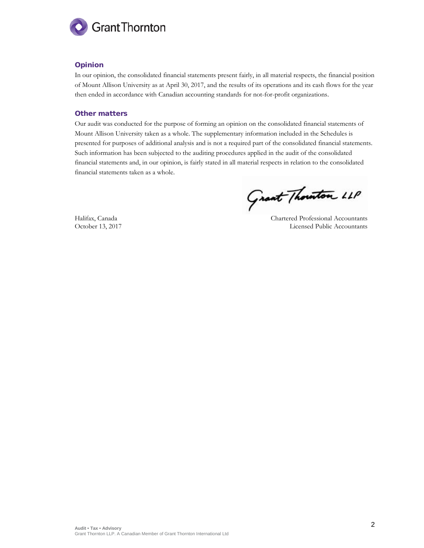

### Opinion

In our opinion, the consolidated financial statements present fairly, in all material respects, the financial position of Mount Allison University as at April 30, 2017, and the results of its operations and its cash flows for the year then ended in accordance with Canadian accounting standards for not-for-profit organizations.

#### Other matters

Our audit was conducted for the purpose of forming an opinion on the consolidated financial statements of Mount Allison University taken as a whole. The supplementary information included in the Schedules is presented for purposes of additional analysis and is not a required part of the consolidated financial statements. Such information has been subjected to the auditing procedures applied in the audit of the consolidated financial statements and, in our opinion, is fairly stated in all material respects in relation to the consolidated financial statements taken as a whole.

Grant Thouton LLP

Halifax, Canada Chartered Professional Accountants October 13, 2017 Licensed Public Accountants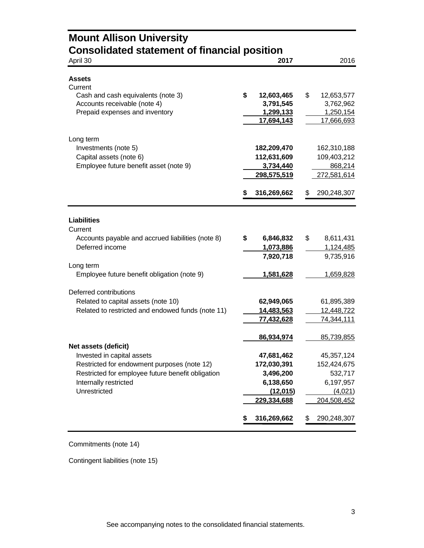| <b>Consolidated statement of financial position</b><br>April 30      | 2017                          | 2016                          |
|----------------------------------------------------------------------|-------------------------------|-------------------------------|
| <b>Assets</b>                                                        |                               |                               |
| Current                                                              |                               |                               |
| Cash and cash equivalents (note 3)<br>Accounts receivable (note 4)   | \$<br>12,603,465<br>3,791,545 | \$<br>12,653,577<br>3,762,962 |
| Prepaid expenses and inventory                                       | 1,299,133                     | 1,250,154                     |
|                                                                      | 17,694,143                    | 17,666,693                    |
|                                                                      |                               |                               |
| Long term<br>Investments (note 5)                                    | 182,209,470                   | 162,310,188                   |
| Capital assets (note 6)                                              | 112,631,609                   | 109,403,212                   |
| Employee future benefit asset (note 9)                               | 3,734,440                     | 868,214                       |
|                                                                      | <u>298,575,519</u>            | 272,581,614                   |
|                                                                      | 316,269,662<br>\$             | \$<br>290,248,307             |
| <b>Liabilities</b>                                                   |                               |                               |
| Current                                                              |                               | \$                            |
| Accounts payable and accrued liabilities (note 8)<br>Deferred income | \$<br>6,846,832               | 8,611,431<br>1,124,485        |
|                                                                      | 1,073,886<br>7,920,718        | 9,735,916                     |
| Long term                                                            |                               |                               |
| Employee future benefit obligation (note 9)                          | 1,581,628                     | 1,659,828                     |
| Deferred contributions                                               |                               |                               |
| Related to capital assets (note 10)                                  | 62,949,065                    | 61,895,389                    |
| Related to restricted and endowed funds (note 11)                    | 14,483,563                    | 12,448,722                    |
|                                                                      | <u>77,432,628</u>             | 74,344,111                    |
|                                                                      | 86,934,974                    | 85,739,855                    |
| Net assets (deficit)                                                 |                               |                               |
| Invested in capital assets                                           | 47,681,462                    | 45,357,124                    |
| Restricted for endowment purposes (note 12)                          | 172,030,391                   | 152,424,675                   |
| Restricted for employee future benefit obligation                    | 3,496,200                     | 532,717                       |
| Internally restricted                                                | 6,138,650                     | 6,197,957                     |
| Unrestricted                                                         | (12, 015)                     | (4,021)                       |
|                                                                      | 229,334,688                   | 204,508,452                   |
|                                                                      | 316,269,662<br>\$             | \$<br>290,248,307             |

### Commitments (note 14)

Contingent liabilities (note 15)

**Mount Allison University**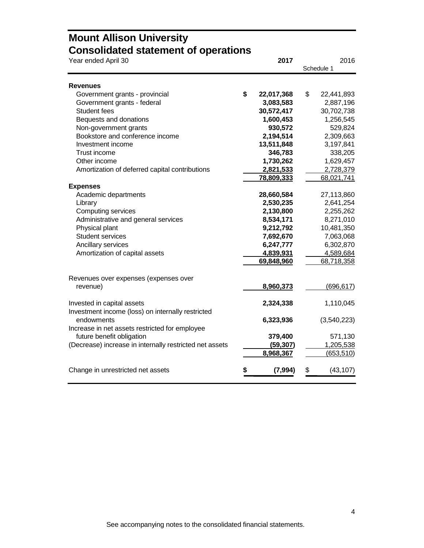## **Mount Allison University Consolidated statement of operations**

| Year ended April 30                                     | 2017             | 2016             |
|---------------------------------------------------------|------------------|------------------|
|                                                         |                  | Schedule 1       |
| Revenues                                                |                  |                  |
| Government grants - provincial                          | \$<br>22,017,368 | \$<br>22,441,893 |
| Government grants - federal                             | 3,083,583        | 2,887,196        |
| Student fees                                            | 30,572,417       | 30,702,738       |
| Bequests and donations                                  | 1,600,453        | 1,256,545        |
| Non-government grants                                   | 930,572          | 529,824          |
| Bookstore and conference income                         | 2,194,514        | 2,309,663        |
| Investment income                                       | 13,511,848       | 3,197,841        |
| Trust income                                            | 346,783          | 338,205          |
| Other income                                            | 1,730,262        | 1,629,457        |
| Amortization of deferred capital contributions          | 2,821,533        | 2,728,379        |
|                                                         | 78,809,333       | 68,021,741       |
| <b>Expenses</b>                                         |                  |                  |
| Academic departments                                    | 28,660,584       | 27,113,860       |
| Library                                                 | 2,530,235        | 2,641,254        |
| <b>Computing services</b>                               | 2,130,800        | 2,255,262        |
| Administrative and general services                     | 8,534,171        | 8,271,010        |
| Physical plant                                          | 9,212,792        | 10,481,350       |
| <b>Student services</b>                                 | 7,692,670        | 7,063,068        |
| Ancillary services                                      | 6,247,777        | 6,302,870        |
| Amortization of capital assets                          | 4,839,931        | 4,589,684        |
|                                                         | 69,848,960       | 68,718,358       |
| Revenues over expenses (expenses over                   |                  |                  |
| revenue)                                                | 8,960,373        | (696, 617)       |
|                                                         |                  |                  |
| Invested in capital assets                              | 2,324,338        | 1,110,045        |
| Investment income (loss) on internally restricted       |                  |                  |
| endowments                                              | 6,323,936        | (3,540,223)      |
| Increase in net assets restricted for employee          |                  |                  |
| future benefit obligation                               | 379,400          | 571,130          |
| (Decrease) increase in internally restricted net assets | (59, 307)        | 1,205,538        |
|                                                         | 8,968,367        | (653, 510)       |
|                                                         |                  |                  |
| Change in unrestricted net assets                       | (7, 994)         | \$<br>(43, 107)  |
|                                                         |                  |                  |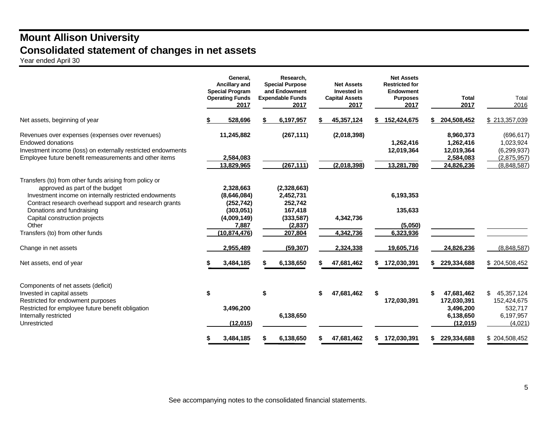## **Mount Allison University Consolidated statement of changes in net assets**

Year ended April 30

|                                                                                                                                                                                                                                                                                                                       | General,<br>Ancillary and<br><b>Special Program</b><br><b>Operating Funds</b><br>2017       | Research,<br><b>Special Purpose</b><br>and Endowment<br><b>Expendable Funds</b><br>2017 | <b>Net Assets</b><br>Invested in<br><b>Capital Assets</b><br>2017 | <b>Net Assets</b><br><b>Restricted for</b><br><b>Endowment</b><br><b>Purposes</b><br>2017 | <b>Total</b><br>2017                                                  | Total<br>2016                                                      |
|-----------------------------------------------------------------------------------------------------------------------------------------------------------------------------------------------------------------------------------------------------------------------------------------------------------------------|---------------------------------------------------------------------------------------------|-----------------------------------------------------------------------------------------|-------------------------------------------------------------------|-------------------------------------------------------------------------------------------|-----------------------------------------------------------------------|--------------------------------------------------------------------|
| Net assets, beginning of year                                                                                                                                                                                                                                                                                         | 528,696                                                                                     | 6,197,957                                                                               | 45,357,124                                                        | \$152,424,675                                                                             | 204,508,452                                                           | \$213,357,039                                                      |
| Revenues over expenses (expenses over revenues)<br>Endowed donations<br>Investment income (loss) on externally restricted endowments<br>Employee future benefit remeasurements and other items                                                                                                                        | 11,245,882<br>2,584,083                                                                     | (267, 111)                                                                              | (2,018,398)                                                       | 1,262,416<br>12,019,364                                                                   | 8,960,373<br>1,262,416<br>12,019,364<br>2,584,083                     | (696, 617)<br>1,023,924<br>(6, 299, 937)<br>(2,875,957)            |
|                                                                                                                                                                                                                                                                                                                       | 13,829,965                                                                                  | (267, 111)                                                                              | (2,018,398)                                                       | 13,281,780                                                                                | 24,826,236                                                            | (8,848,587)                                                        |
| Transfers (to) from other funds arising from policy or<br>approved as part of the budget<br>Investment income on internally restricted endowments<br>Contract research overhead support and research grants<br>Donations and fundraising<br>Capital construction projects<br>Other<br>Transfers (to) from other funds | 2,328,663<br>(8,646,084)<br>(252, 742)<br>(303,051)<br>(4,009,149)<br>7,887<br>(10,874,476) | (2,328,663)<br>2,452,731<br>252,742<br>167,418<br>(333, 587)<br>(2,837)<br>207,804      | 4,342,736<br>4,342,736                                            | 6,193,353<br>135,633<br>(5,050)<br>6,323,936                                              |                                                                       |                                                                    |
| Change in net assets                                                                                                                                                                                                                                                                                                  | 2,955,489                                                                                   | (59, 307)                                                                               | 2,324,338                                                         | 19,605,716                                                                                | 24,826,236                                                            | (8,848,587)                                                        |
| Net assets, end of year                                                                                                                                                                                                                                                                                               | 3,484,185                                                                                   | 6,138,650<br>S.                                                                         | 47,681,462                                                        | 172,030,391                                                                               | 229,334,688<br>\$                                                     | \$204,508,452                                                      |
| Components of net assets (deficit)<br>Invested in capital assets<br>Restricted for endowment purposes<br>Restricted for employee future benefit obligation<br>Internally restricted<br>Unrestricted                                                                                                                   | \$<br>3,496,200<br>(12,015)                                                                 | \$<br>6,138,650                                                                         | 47,681,462<br>\$                                                  | \$<br>172,030,391                                                                         | \$<br>47,681,462<br>172,030,391<br>3,496,200<br>6,138,650<br>(12,015) | \$<br>45,357,124<br>152,424,675<br>532,717<br>6,197,957<br>(4,021) |
|                                                                                                                                                                                                                                                                                                                       | 3,484,185                                                                                   | 6,138,650                                                                               | 47,681,462                                                        | 172,030,391<br>\$                                                                         | \$ 229,334,688                                                        | \$204,508,452                                                      |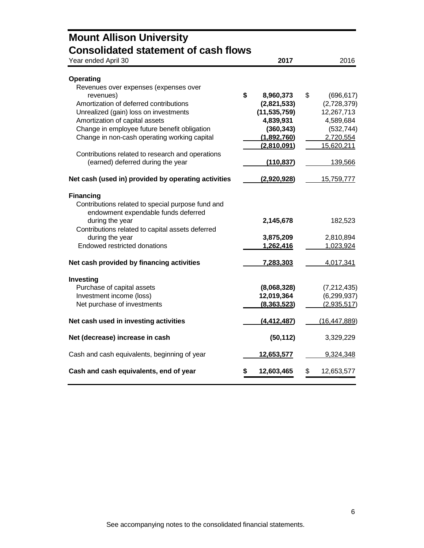| <b>Mount Allison University</b>                                                              |                           |    |                         |
|----------------------------------------------------------------------------------------------|---------------------------|----|-------------------------|
| <b>Consolidated statement of cash flows</b><br>Year ended April 30                           | 2017                      |    | 2016                    |
| <b>Operating</b>                                                                             |                           |    |                         |
| Revenues over expenses (expenses over                                                        |                           |    |                         |
| revenues)                                                                                    | \$<br>8,960,373           | \$ | (696, 617)              |
| Amortization of deferred contributions                                                       | (2,821,533)               |    | (2,728,379)             |
| Unrealized (gain) loss on investments                                                        | (11, 535, 759)            |    | 12,267,713              |
| Amortization of capital assets                                                               | 4,839,931                 |    | 4,589,684               |
| Change in employee future benefit obligation<br>Change in non-cash operating working capital | (360, 343)<br>(1,892,760) |    | (532, 744)<br>2,720,554 |
|                                                                                              | (2,810,091)               |    | 15,620,211              |
| Contributions related to research and operations                                             |                           |    |                         |
| (earned) deferred during the year                                                            | (110, 837)                |    | 139,566                 |
| Net cash (used in) provided by operating activities                                          | (2,920,928)               |    | 15,759,777              |
| <b>Financing</b>                                                                             |                           |    |                         |
| Contributions related to special purpose fund and                                            |                           |    |                         |
| endowment expendable funds deferred                                                          |                           |    |                         |
| during the year<br>Contributions related to capital assets deferred                          | 2,145,678                 |    | 182,523                 |
| during the year                                                                              | 3,875,209                 |    | 2,810,894               |
| <b>Endowed restricted donations</b>                                                          | 1,262,416                 |    | 1,023,924               |
| Net cash provided by financing activities                                                    | 7,283,303                 |    | 4,017,341               |
| Investing                                                                                    |                           |    |                         |
| Purchase of capital assets                                                                   | (8,068,328)               |    | (7,212,435)             |
| Investment income (loss)                                                                     | 12,019,364                |    | (6, 299, 937)           |
| Net purchase of investments                                                                  | (8,363,523)               |    | (2,935,517)             |
| Net cash used in investing activities                                                        | (4, 412, 487)             |    | (16, 447, 889)          |
| Net (decrease) increase in cash                                                              | (50, 112)                 |    | 3,329,229               |
| Cash and cash equivalents, beginning of year                                                 | 12,653,577                |    | 9,324,348               |
| Cash and cash equivalents, end of year                                                       | 12,603,465                | S  | 12,653,577              |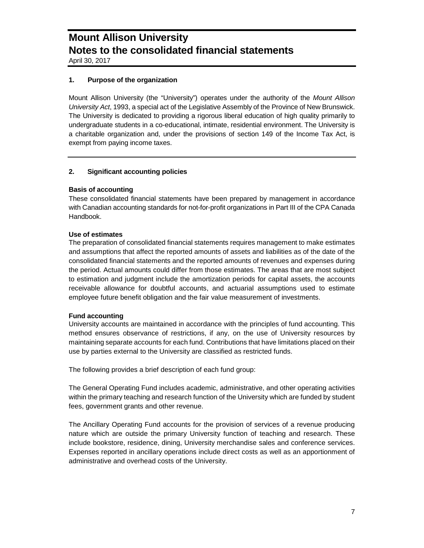April 30, 2017

### **1. Purpose of the organization**

Mount Allison University (the "University") operates under the authority of the *Mount Allison University Act*, 1993, a special act of the Legislative Assembly of the Province of New Brunswick. The University is dedicated to providing a rigorous liberal education of high quality primarily to undergraduate students in a co-educational, intimate, residential environment. The University is a charitable organization and, under the provisions of section 149 of the Income Tax Act, is exempt from paying income taxes.

### **2. Significant accounting policies**

### **Basis of accounting**

These consolidated financial statements have been prepared by management in accordance with Canadian accounting standards for not-for-profit organizations in Part III of the CPA Canada Handbook.

### **Use of estimates**

The preparation of consolidated financial statements requires management to make estimates and assumptions that affect the reported amounts of assets and liabilities as of the date of the consolidated financial statements and the reported amounts of revenues and expenses during the period. Actual amounts could differ from those estimates. The areas that are most subject to estimation and judgment include the amortization periods for capital assets, the accounts receivable allowance for doubtful accounts, and actuarial assumptions used to estimate employee future benefit obligation and the fair value measurement of investments.

#### **Fund accounting**

University accounts are maintained in accordance with the principles of fund accounting. This method ensures observance of restrictions, if any, on the use of University resources by maintaining separate accounts for each fund. Contributions that have limitations placed on their use by parties external to the University are classified as restricted funds.

The following provides a brief description of each fund group:

The General Operating Fund includes academic, administrative, and other operating activities within the primary teaching and research function of the University which are funded by student fees, government grants and other revenue.

The Ancillary Operating Fund accounts for the provision of services of a revenue producing nature which are outside the primary University function of teaching and research. These include bookstore, residence, dining, University merchandise sales and conference services. Expenses reported in ancillary operations include direct costs as well as an apportionment of administrative and overhead costs of the University.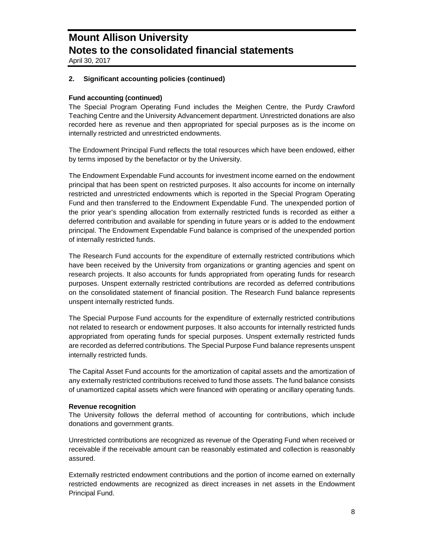April 30, 2017

### **2. Significant accounting policies (continued)**

### **Fund accounting (continued)**

The Special Program Operating Fund includes the Meighen Centre, the Purdy Crawford Teaching Centre and the University Advancement department. Unrestricted donations are also recorded here as revenue and then appropriated for special purposes as is the income on internally restricted and unrestricted endowments.

The Endowment Principal Fund reflects the total resources which have been endowed, either by terms imposed by the benefactor or by the University.

The Endowment Expendable Fund accounts for investment income earned on the endowment principal that has been spent on restricted purposes. It also accounts for income on internally restricted and unrestricted endowments which is reported in the Special Program Operating Fund and then transferred to the Endowment Expendable Fund. The unexpended portion of the prior year's spending allocation from externally restricted funds is recorded as either a deferred contribution and available for spending in future years or is added to the endowment principal. The Endowment Expendable Fund balance is comprised of the unexpended portion of internally restricted funds.

The Research Fund accounts for the expenditure of externally restricted contributions which have been received by the University from organizations or granting agencies and spent on research projects. It also accounts for funds appropriated from operating funds for research purposes. Unspent externally restricted contributions are recorded as deferred contributions on the consolidated statement of financial position. The Research Fund balance represents unspent internally restricted funds.

The Special Purpose Fund accounts for the expenditure of externally restricted contributions not related to research or endowment purposes. It also accounts for internally restricted funds appropriated from operating funds for special purposes. Unspent externally restricted funds are recorded as deferred contributions. The Special Purpose Fund balance represents unspent internally restricted funds.

The Capital Asset Fund accounts for the amortization of capital assets and the amortization of any externally restricted contributions received to fund those assets. The fund balance consists of unamortized capital assets which were financed with operating or ancillary operating funds.

#### **Revenue recognition**

The University follows the deferral method of accounting for contributions, which include donations and government grants.

Unrestricted contributions are recognized as revenue of the Operating Fund when received or receivable if the receivable amount can be reasonably estimated and collection is reasonably assured.

Externally restricted endowment contributions and the portion of income earned on externally restricted endowments are recognized as direct increases in net assets in the Endowment Principal Fund.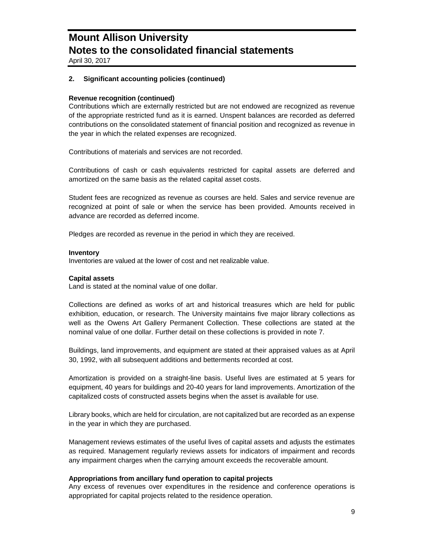April 30, 2017

### **2. Significant accounting policies (continued)**

### **Revenue recognition (continued)**

Contributions which are externally restricted but are not endowed are recognized as revenue of the appropriate restricted fund as it is earned. Unspent balances are recorded as deferred contributions on the consolidated statement of financial position and recognized as revenue in the year in which the related expenses are recognized.

Contributions of materials and services are not recorded.

Contributions of cash or cash equivalents restricted for capital assets are deferred and amortized on the same basis as the related capital asset costs.

Student fees are recognized as revenue as courses are held. Sales and service revenue are recognized at point of sale or when the service has been provided. Amounts received in advance are recorded as deferred income.

Pledges are recorded as revenue in the period in which they are received.

#### **Inventory**

Inventories are valued at the lower of cost and net realizable value.

#### **Capital assets**

Land is stated at the nominal value of one dollar.

Collections are defined as works of art and historical treasures which are held for public exhibition, education, or research. The University maintains five major library collections as well as the Owens Art Gallery Permanent Collection. These collections are stated at the nominal value of one dollar. Further detail on these collections is provided in note 7.

Buildings, land improvements, and equipment are stated at their appraised values as at April 30, 1992, with all subsequent additions and betterments recorded at cost.

Amortization is provided on a straight-line basis. Useful lives are estimated at 5 years for equipment, 40 years for buildings and 20-40 years for land improvements. Amortization of the capitalized costs of constructed assets begins when the asset is available for use.

Library books, which are held for circulation, are not capitalized but are recorded as an expense in the year in which they are purchased.

Management reviews estimates of the useful lives of capital assets and adjusts the estimates as required. Management regularly reviews assets for indicators of impairment and records any impairment charges when the carrying amount exceeds the recoverable amount.

### **Appropriations from ancillary fund operation to capital projects**

Any excess of revenues over expenditures in the residence and conference operations is appropriated for capital projects related to the residence operation.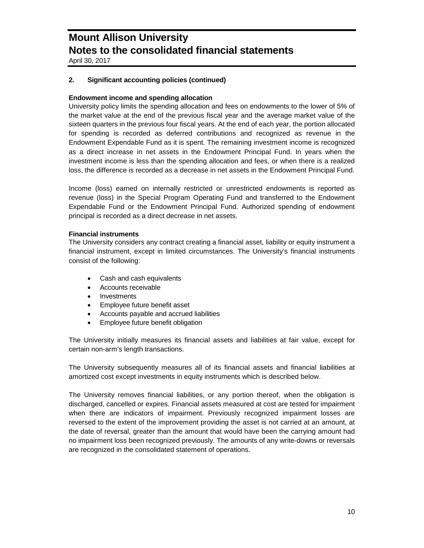April 30, 2017

### **2. Significant accounting policies (continued)**

### **Endowment income and spending allocation**

University policy limits the spending allocation and fees on endowments to the lower of 5% of the market value at the end of the previous fiscal year and the average market value of the sixteen quarters in the previous four fiscal years. At the end of each year, the portion allocated for spending is recorded as deferred contributions and recognized as revenue in the Endowment Expendable Fund as it is spent. The remaining investment income is recognized as a direct increase in net assets in the Endowment Principal Fund. In years when the investment income is less than the spending allocation and fees, or when there is a realized loss, the difference is recorded as a decrease in net assets in the Endowment Principal Fund.

Income (loss) earned on internally restricted or unrestricted endowments is reported as revenue (loss) in the Special Program Operating Fund and transferred to the Endowment Expendable Fund or the Endowment Principal Fund. Authorized spending of endowment principal is recorded as a direct decrease in net assets.

### **Financial instruments**

The University considers any contract creating a financial asset, liability or equity instrument a financial instrument, except in limited circumstances. The University's financial instruments consist of the following:

- Cash and cash equivalents
- Accounts receivable
- Investments
- Employee future benefit asset
- Accounts payable and accrued liabilities
- Employee future benefit obligation

The University initially measures its financial assets and liabilities at fair value, except for certain non-arm's length transactions.

The University subsequently measures all of its financial assets and financial liabilities at amortized cost except investments in equity instruments which is described below.

The University removes financial liabilities, or any portion thereof, when the obligation is discharged, cancelled or expires. Financial assets measured at cost are tested for impairment when there are indicators of impairment. Previously recognized impairment losses are reversed to the extent of the improvement providing the asset is not carried at an amount, at the date of reversal, greater than the amount that would have been the carrying amount had no impairment loss been recognized previously. The amounts of any write-downs or reversals are recognized in the consolidated statement of operations.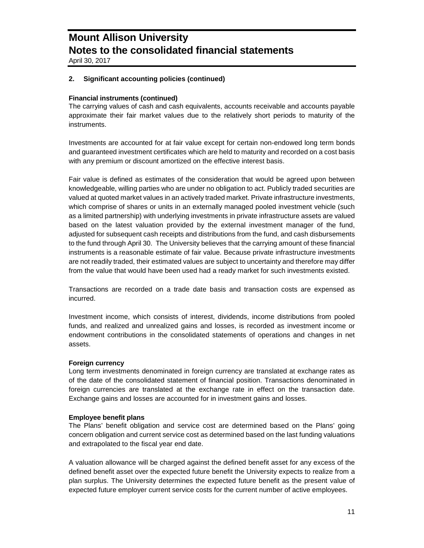April 30, 2017

### **2. Significant accounting policies (continued)**

### **Financial instruments (continued)**

The carrying values of cash and cash equivalents, accounts receivable and accounts payable approximate their fair market values due to the relatively short periods to maturity of the instruments.

Investments are accounted for at fair value except for certain non-endowed long term bonds and guaranteed investment certificates which are held to maturity and recorded on a cost basis with any premium or discount amortized on the effective interest basis.

Fair value is defined as estimates of the consideration that would be agreed upon between knowledgeable, willing parties who are under no obligation to act. Publicly traded securities are valued at quoted market values in an actively traded market. Private infrastructure investments, which comprise of shares or units in an externally managed pooled investment vehicle (such as a limited partnership) with underlying investments in private infrastructure assets are valued based on the latest valuation provided by the external investment manager of the fund, adjusted for subsequent cash receipts and distributions from the fund, and cash disbursements to the fund through April 30. The University believes that the carrying amount of these financial instruments is a reasonable estimate of fair value. Because private infrastructure investments are not readily traded, their estimated values are subject to uncertainty and therefore may differ from the value that would have been used had a ready market for such investments existed.

Transactions are recorded on a trade date basis and transaction costs are expensed as incurred.

Investment income, which consists of interest, dividends, income distributions from pooled funds, and realized and unrealized gains and losses, is recorded as investment income or endowment contributions in the consolidated statements of operations and changes in net assets.

#### **Foreign currency**

Long term investments denominated in foreign currency are translated at exchange rates as of the date of the consolidated statement of financial position. Transactions denominated in foreign currencies are translated at the exchange rate in effect on the transaction date. Exchange gains and losses are accounted for in investment gains and losses.

#### **Employee benefit plans**

The Plans' benefit obligation and service cost are determined based on the Plans' going concern obligation and current service cost as determined based on the last funding valuations and extrapolated to the fiscal year end date.

A valuation allowance will be charged against the defined benefit asset for any excess of the defined benefit asset over the expected future benefit the University expects to realize from a plan surplus. The University determines the expected future benefit as the present value of expected future employer current service costs for the current number of active employees.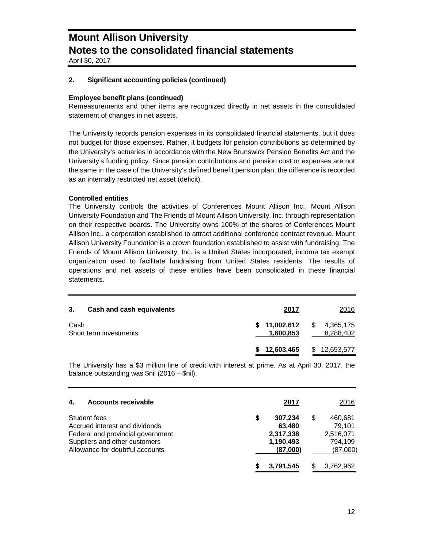April 30, 2017

### **2. Significant accounting policies (continued)**

### **Employee benefit plans (continued)**

Remeasurements and other items are recognized directly in net assets in the consolidated statement of changes in net assets.

The University records pension expenses in its consolidated financial statements, but it does not budget for those expenses. Rather, it budgets for pension contributions as determined by the University's actuaries in accordance with the New Brunswick Pension Benefits Act and the University's funding policy. Since pension contributions and pension cost or expenses are not the same in the case of the University's defined benefit pension plan, the difference is recorded as an internally restricted net asset (deficit).

### **Controlled entities**

The University controls the activities of Conferences Mount Allison Inc., Mount Allison University Foundation and The Friends of Mount Allison University, Inc. through representation on their respective boards. The University owns 100% of the shares of Conferences Mount Allison Inc., a corporation established to attract additional conference contract revenue. Mount Allison University Foundation is a crown foundation established to assist with fundraising. The Friends of Mount Allison University, Inc. is a United States incorporated, income tax exempt organization used to facilitate fundraising from United States residents. The results of operations and net assets of these entities have been consolidated in these financial statements.

| 3.   | Cash and cash equivalents | 2017                                    | 2016         |
|------|---------------------------|-----------------------------------------|--------------|
| Cash | Short term investments    | $$11,002,612$ $$4,365,175$<br>1,600,853 | 8,288,402    |
|      |                           | 12,603,465<br>S.                        | \$12,653,577 |

The University has a \$3 million line of credit with interest at prime. As at April 30, 2017, the balance outstanding was \$nil (2016 – \$nil).

| 4.<br><b>Accounts receivable</b>                                                                                                                        | 2017                                                         |   | 2016                                                  |
|---------------------------------------------------------------------------------------------------------------------------------------------------------|--------------------------------------------------------------|---|-------------------------------------------------------|
| Student fees<br>Accrued interest and dividends<br>Federal and provincial government<br>Suppliers and other customers<br>Allowance for doubtful accounts | S<br>307,234<br>63,480<br>2,317,338<br>1,190,493<br>(87,000) | S | 460,681<br>79.101<br>2,516,071<br>794,109<br>(87,000) |
|                                                                                                                                                         | 3,791,545                                                    |   | 3,762,962                                             |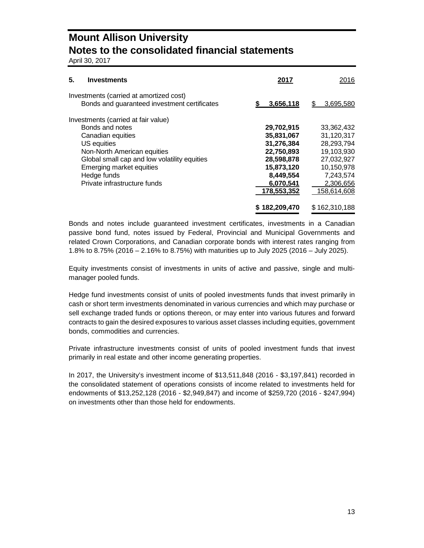April 30, 2017

| 5.<br><b>Investments</b>                                                                | 2017          | 2016            |
|-----------------------------------------------------------------------------------------|---------------|-----------------|
| Investments (carried at amortized cost)<br>Bonds and guaranteed investment certificates | 3,656,118     | 3,695,580<br>S. |
| Investments (carried at fair value)                                                     |               |                 |
| Bonds and notes                                                                         | 29,702,915    | 33,362,432      |
| Canadian equities                                                                       | 35,831,067    | 31,120,317      |
| US equities                                                                             | 31,276,384    | 28,293,794      |
| Non-North American equities                                                             | 22,750,893    | 19,103,930      |
| Global small cap and low volatility equities                                            | 28,598,878    | 27,032,927      |
| Emerging market equities                                                                | 15,873,120    | 10,150,978      |
| Hedge funds                                                                             | 8,449,554     | 7,243,574       |
| Private infrastructure funds                                                            | 6,070,541     | 2,306,656       |
|                                                                                         | 178,553,352   | 158,614,608     |
|                                                                                         | \$182,209,470 | \$162,310,188   |

Bonds and notes include guaranteed investment certificates, investments in a Canadian passive bond fund, notes issued by Federal, Provincial and Municipal Governments and related Crown Corporations, and Canadian corporate bonds with interest rates ranging from 1.8% to 8.75% (2016 – 2.16% to 8.75%) with maturities up to July 2025 (2016 – July 2025).

Equity investments consist of investments in units of active and passive, single and multimanager pooled funds.

Hedge fund investments consist of units of pooled investments funds that invest primarily in cash or short term investments denominated in various currencies and which may purchase or sell exchange traded funds or options thereon, or may enter into various futures and forward contracts to gain the desired exposures to various asset classes including equities, government bonds, commodities and currencies.

Private infrastructure investments consist of units of pooled investment funds that invest primarily in real estate and other income generating properties.

In 2017, the University's investment income of \$13,511,848 (2016 - \$3,197,841) recorded in the consolidated statement of operations consists of income related to investments held for endowments of \$13,252,128 (2016 - \$2,949,847) and income of \$259,720 (2016 - \$247,994) on investments other than those held for endowments.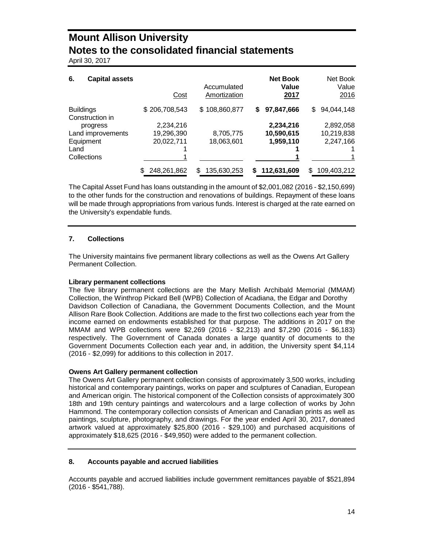April 30, 2017

| 6.<br><b>Capital assets</b>         | Cost          | Accumulated<br>Amortization | <b>Net Book</b><br>Value<br>2017 | Net Book<br>Value<br>2016 |
|-------------------------------------|---------------|-----------------------------|----------------------------------|---------------------------|
| <b>Buildings</b><br>Construction in | \$206,708,543 | \$108,860,877               | 97,847,666<br>S.                 | 94,044,148<br>\$          |
| progress                            | 2,234,216     |                             | 2,234,216                        | 2,892,058                 |
| Land improvements                   | 19,296,390    | 8,705,775                   | 10,590,615                       | 10,219,838                |
| Equipment                           | 20,022,711    | 18,063,601                  | 1,959,110                        | 2,247,166                 |
| Land                                |               |                             |                                  |                           |
| Collections                         |               |                             |                                  |                           |
|                                     | 248,261,862   | 135,630,253<br>S.           | 112,631,609<br>S                 | 109,403,212<br>S          |

The Capital Asset Fund has loans outstanding in the amount of \$2,001,082 (2016 - \$2,150,699) to the other funds for the construction and renovations of buildings. Repayment of these loans will be made through appropriations from various funds. Interest is charged at the rate earned on the University's expendable funds.

### **7. Collections**

The University maintains five permanent library collections as well as the Owens Art Gallery Permanent Collection.

#### **Library permanent collections**

The five library permanent collections are the Mary Mellish Archibald Memorial (MMAM) Collection, the Winthrop Pickard Bell (WPB) Collection of Acadiana, the Edgar and Dorothy Davidson Collection of Canadiana, the Government Documents Collection, and the Mount Allison Rare Book Collection. Additions are made to the first two collections each year from the income earned on endowments established for that purpose. The additions in 2017 on the MMAM and WPB collections were \$2,269 (2016 - \$2,213) and \$7,290 (2016 - \$6,183) respectively. The Government of Canada donates a large quantity of documents to the Government Documents Collection each year and, in addition, the University spent \$4,114 (2016 - \$2,099) for additions to this collection in 2017.

### **Owens Art Gallery permanent collection**

The Owens Art Gallery permanent collection consists of approximately 3,500 works, including historical and contemporary paintings, works on paper and sculptures of Canadian, European and American origin. The historical component of the Collection consists of approximately 300 18th and 19th century paintings and watercolours and a large collection of works by John Hammond. The contemporary collection consists of American and Canadian prints as well as paintings, sculpture, photography, and drawings. For the year ended April 30, 2017, donated artwork valued at approximately \$25,800 (2016 - \$29,100) and purchased acquisitions of approximately \$18,625 (2016 - \$49,950) were added to the permanent collection.

#### **8. Accounts payable and accrued liabilities**

Accounts payable and accrued liabilities include government remittances payable of \$521,894 (2016 - \$541,788).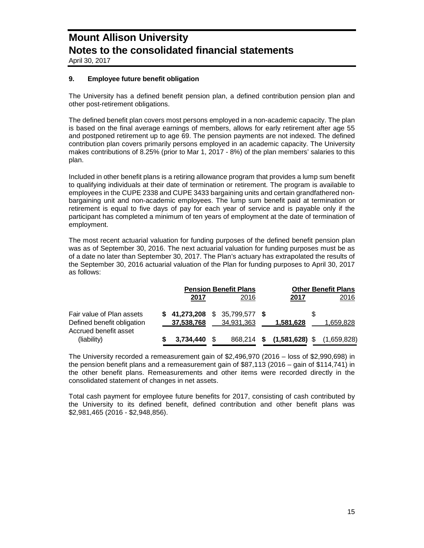April 30, 2017

### **9. Employee future benefit obligation**

The University has a defined benefit pension plan, a defined contribution pension plan and other post-retirement obligations.

The defined benefit plan covers most persons employed in a non-academic capacity. The plan is based on the final average earnings of members, allows for early retirement after age 55 and postponed retirement up to age 69. The pension payments are not indexed. The defined contribution plan covers primarily persons employed in an academic capacity. The University makes contributions of 8.25% (prior to Mar 1, 2017 - 8%) of the plan members' salaries to this plan.

Included in other benefit plans is a retiring allowance program that provides a lump sum benefit to qualifying individuals at their date of termination or retirement. The program is available to employees in the CUPE 2338 and CUPE 3433 bargaining units and certain grandfathered nonbargaining unit and non-academic employees. The lump sum benefit paid at termination or retirement is equal to five days of pay for each year of service and is payable only if the participant has completed a minimum of ten years of employment at the date of termination of employment.

The most recent actuarial valuation for funding purposes of the defined benefit pension plan was as of September 30, 2016. The next actuarial valuation for funding purposes must be as of a date no later than September 30, 2017. The Plan's actuary has extrapolated the results of the September 30, 2016 actuarial valuation of the Plan for funding purposes to April 30, 2017 as follows:

|                                                         |                | <b>Pension Benefit Plans</b>                  |  | <b>Other Benefit Plans</b>            |           |
|---------------------------------------------------------|----------------|-----------------------------------------------|--|---------------------------------------|-----------|
|                                                         | 2017           | 2016                                          |  | 2017                                  | 2016      |
| Fair value of Plan assets<br>Defined benefit obligation | 37,538,768     | $$41,273,208$ $$35,799,577$ $$$<br>34,931,363 |  | 1,581,628                             | 1,659,828 |
| Accrued benefit asset<br>(liability)                    | $3.734.440$ \$ |                                               |  | 868,214 \$ (1,581,628) \$ (1,659,828) |           |

The University recorded a remeasurement gain of \$2,496,970 (2016 – loss of \$2,990,698) in the pension benefit plans and a remeasurement gain of \$87,113 (2016 – gain of \$114,741) in the other benefit plans. Remeasurements and other items were recorded directly in the consolidated statement of changes in net assets.

Total cash payment for employee future benefits for 2017, consisting of cash contributed by the University to its defined benefit, defined contribution and other benefit plans was \$2,981,465 (2016 - \$2,948,856).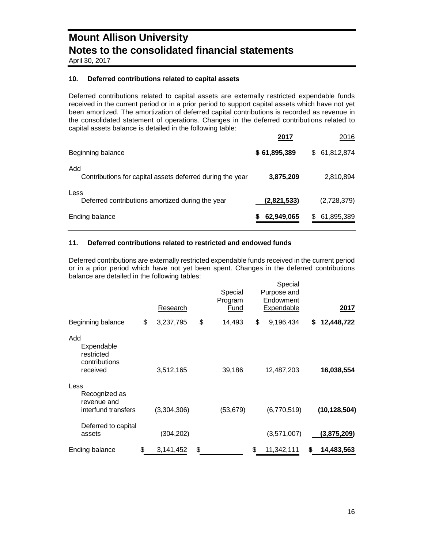April 30, 2017

### **10. Deferred contributions related to capital assets**

Deferred contributions related to capital assets are externally restricted expendable funds received in the current period or in a prior period to support capital assets which have not yet been amortized. The amortization of deferred capital contributions is recorded as revenue in the consolidated statement of operations. Changes in the deferred contributions related to capital assets balance is detailed in the following table:

|                                                                  | 2017         | 2016              |
|------------------------------------------------------------------|--------------|-------------------|
| Beginning balance                                                | \$61,895,389 | \$ 61,812,874     |
| Add<br>Contributions for capital assets deferred during the year | 3,875,209    | 2,810,894         |
| Less<br>Deferred contributions amortized during the year         | (2,821,533)  | (2,728,379)       |
| Ending balance                                                   | 62,949,065   | 61,895,389<br>\$. |

### **11. Deferred contributions related to restricted and endowed funds**

Deferred contributions are externally restricted expendable funds received in the current period or in a prior period which have not yet been spent. Changes in the deferred contributions balance are detailed in the following tables: Special

| Beginning balance                                            | \$<br>Research<br>3,237,795 | \$<br>Special<br>Program<br><u>Fund</u><br>14,493 | \$<br>Special<br>Purpose and<br>Endowment<br>Expendable<br>9,196,434 | \$<br>2017<br>12,448,722 |
|--------------------------------------------------------------|-----------------------------|---------------------------------------------------|----------------------------------------------------------------------|--------------------------|
|                                                              |                             |                                                   |                                                                      |                          |
| Add<br>Expendable<br>restricted<br>contributions<br>received | 3,512,165                   | 39,186                                            | 12,487,203                                                           | 16,038,554               |
| Less<br>Recognized as<br>revenue and<br>interfund transfers  | (3,304,306)                 | (53, 679)                                         | (6,770,519)                                                          | (10, 128, 504)           |
| Deferred to capital<br>assets                                | (304, 202)                  |                                                   | (3,571,007)                                                          | <u>(3,875,209)</u>       |
| Ending balance                                               | \$<br>3,141,452             | \$                                                | \$<br>11,342,111                                                     | \$<br>14,483,563         |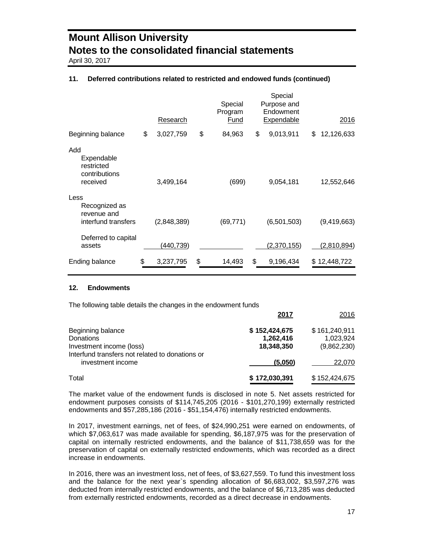April 30, 2017

### **11. Deferred contributions related to restricted and endowed funds (continued)**

|                                                              | Research        | Special<br>Program<br>Fund | Special<br>Purpose and<br>Endowment<br><b>Expendable</b> | 2016             |
|--------------------------------------------------------------|-----------------|----------------------------|----------------------------------------------------------|------------------|
| Beginning balance                                            | \$<br>3,027,759 | \$<br>84,963               | \$<br>9,013,911                                          | \$<br>12,126,633 |
| Add<br>Expendable<br>restricted<br>contributions<br>received | 3,499,164       | (699)                      | 9,054,181                                                | 12,552,646       |
| Less<br>Recognized as<br>revenue and<br>interfund transfers  | (2,848,389)     | (69, 771)                  | (6,501,503)                                              | (9,419,663)      |
| Deferred to capital<br>assets                                | 440,739)        |                            | (2,370,155)                                              | (2,810,894)      |
| Ending balance                                               | \$<br>3,237,795 | \$<br>14,493               | \$<br>9,196,434                                          | \$12,448,722     |

#### **12. Endowments**

The following table details the changes in the endowment funds

|                                                 | 2017          | 2016          |
|-------------------------------------------------|---------------|---------------|
| Beginning balance                               | \$152,424,675 | \$161,240,911 |
| Donations                                       | 1,262,416     | 1,023,924     |
| Investment income (loss)                        | 18,348,350    | (9,862,230)   |
| Interfund transfers not related to donations or |               |               |
| investment income                               | (5,050)       | 22,070        |
| Total                                           | \$172,030,391 | \$152,424,675 |

The market value of the endowment funds is disclosed in note 5. Net assets restricted for endowment purposes consists of \$114,745,205 (2016 - \$101,270,199) externally restricted endowments and \$57,285,186 (2016 - \$51,154,476) internally restricted endowments.

In 2017, investment earnings, net of fees, of \$24,990,251 were earned on endowments, of which \$7,063,617 was made available for spending, \$6,187,975 was for the preservation of capital on internally restricted endowments, and the balance of \$11,738,659 was for the preservation of capital on externally restricted endowments, which was recorded as a direct increase in endowments.

In 2016, there was an investment loss, net of fees, of \$3,627,559. To fund this investment loss and the balance for the next year`s spending allocation of \$6,683,002, \$3,597,276 was deducted from internally restricted endowments, and the balance of \$6,713,285 was deducted from externally restricted endowments, recorded as a direct decrease in endowments.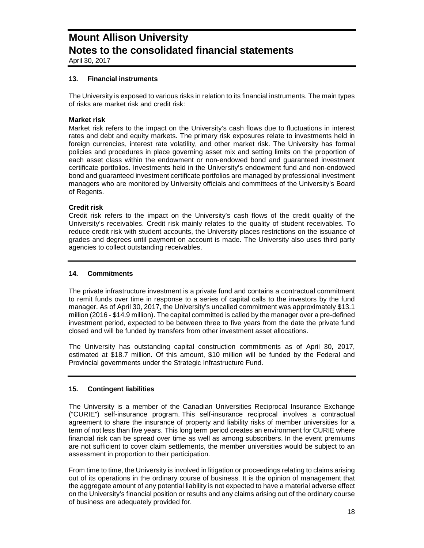April 30, 2017

### **13. Financial instruments**

The University is exposed to various risks in relation to its financial instruments. The main types of risks are market risk and credit risk:

### **Market risk**

Market risk refers to the impact on the University's cash flows due to fluctuations in interest rates and debt and equity markets. The primary risk exposures relate to investments held in foreign currencies, interest rate volatility, and other market risk. The University has formal policies and procedures in place governing asset mix and setting limits on the proportion of each asset class within the endowment or non-endowed bond and guaranteed investment certificate portfolios. Investments held in the University's endowment fund and non-endowed bond and guaranteed investment certificate portfolios are managed by professional investment managers who are monitored by University officials and committees of the University's Board of Regents.

#### **Credit risk**

Credit risk refers to the impact on the University's cash flows of the credit quality of the University's receivables. Credit risk mainly relates to the quality of student receivables. To reduce credit risk with student accounts, the University places restrictions on the issuance of grades and degrees until payment on account is made. The University also uses third party agencies to collect outstanding receivables.

### **14. Commitments**

The private infrastructure investment is a private fund and contains a contractual commitment to remit funds over time in response to a series of capital calls to the investors by the fund manager. As of April 30, 2017, the University's uncalled commitment was approximately \$13.1 million (2016 - \$14.9 million). The capital committed is called by the manager over a pre-defined investment period, expected to be between three to five years from the date the private fund closed and will be funded by transfers from other investment asset allocations.

The University has outstanding capital construction commitments as of April 30, 2017, estimated at \$18.7 million. Of this amount, \$10 million will be funded by the Federal and Provincial governments under the Strategic Infrastructure Fund.

#### **15. Contingent liabilities**

The University is a member of the Canadian Universities Reciprocal Insurance Exchange ("CURIE") self-insurance program. This self-insurance reciprocal involves a contractual agreement to share the insurance of property and liability risks of member universities for a term of not less than five years. This long term period creates an environment for CURIE where financial risk can be spread over time as well as among subscribers. In the event premiums are not sufficient to cover claim settlements, the member universities would be subject to an assessment in proportion to their participation.

From time to time, the University is involved in litigation or proceedings relating to claims arising out of its operations in the ordinary course of business. It is the opinion of management that the aggregate amount of any potential liability is not expected to have a material adverse effect on the University's financial position or results and any claims arising out of the ordinary course of business are adequately provided for.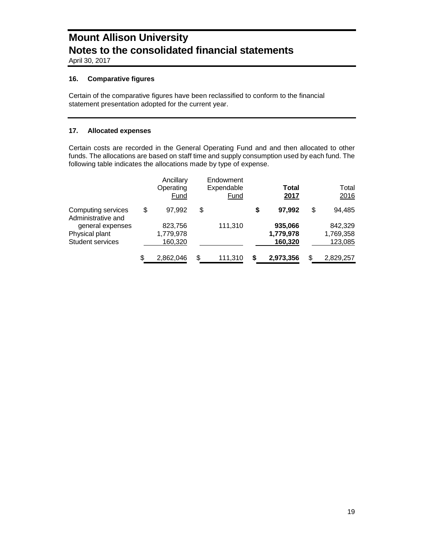April 30, 2017

### **16. Comparative figures**

Certain of the comparative figures have been reclassified to conform to the financial statement presentation adopted for the current year.

### **17. Allocated expenses**

Certain costs are recorded in the General Operating Fund and and then allocated to other funds. The allocations are based on staff time and supply consumption used by each fund. The following table indicates the allocations made by type of expense.

|                                                               | Ancillary<br>Operating<br>Fund  | Endowment<br>Expendable<br>Fund |    | Total<br>2017                   |    | Total<br>2016                   |  |
|---------------------------------------------------------------|---------------------------------|---------------------------------|----|---------------------------------|----|---------------------------------|--|
| Computing services<br>Administrative and                      | \$<br>97.992                    | \$                              | S  | 97.992                          | \$ | 94,485                          |  |
| general expenses<br>Physical plant<br><b>Student services</b> | 823,756<br>1,779,978<br>160,320 | 111,310                         |    | 935,066<br>1,779,978<br>160,320 |    | 842,329<br>1,769,358<br>123,085 |  |
|                                                               | \$<br>2,862,046                 | \$<br>111,310                   | \$ | 2,973,356                       | S  | 2,829,257                       |  |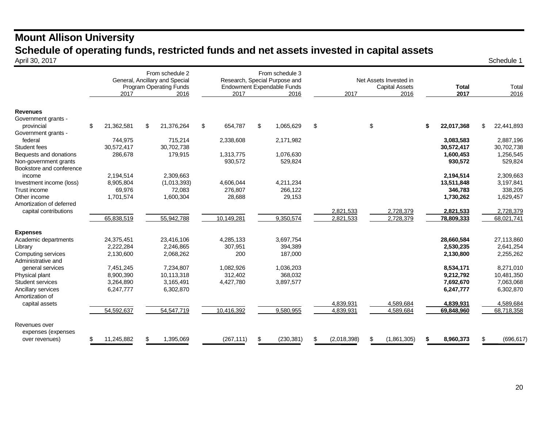### **Mount Allison University Schedule of operating funds, restricted funds and net assets invested in capital assets**<br>April 30, 2017 April 30, 2017 Schedule 1

|                                                      | 2017 |            |    | From schedule 2<br>General, Ancillary and Special<br><b>Program Operating Funds</b><br>2016 | 2017          | From schedule 3<br>Research, Special Purpose and<br>Endowment Expendable Funds<br>2016 |            | 2017        | Net Assets Invested in<br><b>Capital Assets</b><br>2016 |             | <b>Total</b><br>2017 | Total<br>2016    |
|------------------------------------------------------|------|------------|----|---------------------------------------------------------------------------------------------|---------------|----------------------------------------------------------------------------------------|------------|-------------|---------------------------------------------------------|-------------|----------------------|------------------|
| <b>Revenues</b><br>Government grants -<br>provincial | \$   | 21,362,581 | \$ | 21,376,264                                                                                  | \$<br>654,787 | \$                                                                                     | 1,065,629  | \$          | \$                                                      |             | \$<br>22,017,368     | \$<br>22,441,893 |
| Government grants -                                  |      |            |    |                                                                                             |               |                                                                                        |            |             |                                                         |             |                      |                  |
| federal                                              |      | 744,975    |    | 715,214                                                                                     | 2,338,608     |                                                                                        | 2,171,982  |             |                                                         |             | 3,083,583            | 2,887,196        |
| Student fees                                         |      | 30,572,417 |    | 30,702,738                                                                                  |               |                                                                                        |            |             |                                                         |             | 30,572,417           | 30,702,738       |
| Bequests and donations                               |      | 286,678    |    | 179,915                                                                                     | 1,313,775     |                                                                                        | 1,076,630  |             |                                                         |             | 1,600,453            | 1,256,545        |
| Non-government grants<br>Bookstore and conference    |      |            |    |                                                                                             | 930,572       |                                                                                        | 529,824    |             |                                                         |             | 930,572              | 529,824          |
| income                                               |      | 2,194,514  |    | 2,309,663                                                                                   |               |                                                                                        |            |             |                                                         |             | 2,194,514            | 2,309,663        |
| Investment income (loss)                             |      | 8,905,804  |    | (1,013,393)                                                                                 | 4,606,044     |                                                                                        | 4.211.234  |             |                                                         |             | 13,511,848           | 3,197,841        |
| Trust income                                         |      | 69.976     |    | 72,083                                                                                      | 276,807       |                                                                                        | 266,122    |             |                                                         |             | 346,783              | 338,205          |
| Other income                                         |      | 1,701,574  |    | 1,600,304                                                                                   | 28,688        |                                                                                        | 29,153     |             |                                                         |             | 1,730,262            | 1,629,457        |
| Amortization of deferred                             |      |            |    |                                                                                             |               |                                                                                        |            |             |                                                         |             |                      |                  |
| capital contributions                                |      |            |    |                                                                                             |               |                                                                                        |            | 2,821,533   |                                                         | 2,728,379   | 2,821,533            | 2,728,379        |
|                                                      |      | 65,838,519 |    | 55,942,788                                                                                  | 10,149,281    |                                                                                        | 9,350,574  | 2,821,533   |                                                         | 2,728,379   | 78,809,333           | 68,021,741       |
| <b>Expenses</b>                                      |      |            |    |                                                                                             |               |                                                                                        |            |             |                                                         |             |                      |                  |
| Academic departments                                 |      | 24,375,451 |    | 23,416,106                                                                                  | 4,285,133     |                                                                                        | 3,697,754  |             |                                                         |             | 28,660,584           | 27,113,860       |
| Library                                              |      | 2,222,284  |    | 2,246,865                                                                                   | 307,951       |                                                                                        | 394,389    |             |                                                         |             | 2,530,235            | 2,641,254        |
| Computing services                                   |      | 2,130,600  |    | 2,068,262                                                                                   | 200           |                                                                                        | 187,000    |             |                                                         |             | 2,130,800            | 2,255,262        |
| Administrative and                                   |      |            |    |                                                                                             |               |                                                                                        |            |             |                                                         |             |                      |                  |
| general services                                     |      | 7,451,245  |    | 7.234.807                                                                                   | 1.082.926     |                                                                                        | 1,036,203  |             |                                                         |             | 8,534,171            | 8,271,010        |
| Physical plant                                       |      | 8,900,390  |    | 10,113,318                                                                                  | 312.402       |                                                                                        | 368,032    |             |                                                         |             | 9,212,792            | 10,481,350       |
| Student services                                     |      | 3,264,890  |    | 3,165,491                                                                                   | 4,427,780     |                                                                                        | 3,897,577  |             |                                                         |             | 7,692,670            | 7,063,068        |
| Ancillary services<br>Amortization of                |      | 6,247,777  |    | 6,302,870                                                                                   |               |                                                                                        |            |             |                                                         |             | 6,247,777            | 6,302,870        |
| capital assets                                       |      |            |    |                                                                                             |               |                                                                                        |            | 4.839.931   |                                                         | 4.589.684   | 4,839,931            | 4.589.684        |
|                                                      |      | 54,592,637 |    | 54,547,719                                                                                  | 10,416,392    |                                                                                        | 9,580,955  | 4,839,931   |                                                         | 4,589,684   | 69,848,960           | 68,718,358       |
|                                                      |      |            |    |                                                                                             |               |                                                                                        |            |             |                                                         |             |                      |                  |
| Revenues over                                        |      |            |    |                                                                                             |               |                                                                                        |            |             |                                                         |             |                      |                  |
| expenses (expenses                                   |      |            |    |                                                                                             |               |                                                                                        |            |             |                                                         |             |                      |                  |
| over revenues)                                       |      | 11,245,882 |    | 1,395,069                                                                                   | (267, 111)    | \$                                                                                     | (230, 381) | (2,018,398) | S                                                       | (1,861,305) | \$<br>8,960,373      | \$<br>(696, 617) |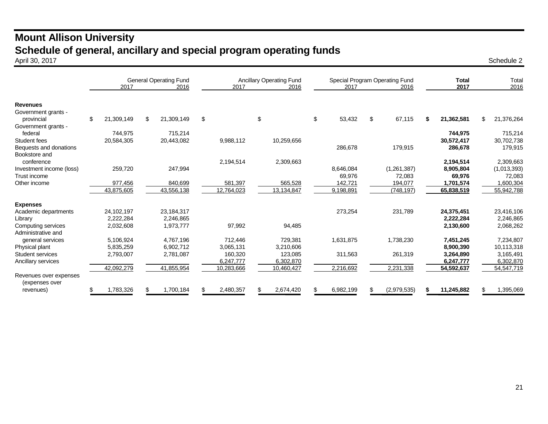### **Mount Allison University Schedule of general, ancillary and special program operating funds** April 30, 2017 April 30, 2017 Schedule 2

|                                          | 2017             | <b>General Operating Fund</b><br>2016 | <b>Ancillary Operating Fund</b><br>2017<br>2016 |            |    |            |    | 2017      | Special Program Operating Fund<br>2016 | <b>Total</b><br>2017 | Total<br>2016    |  |             |
|------------------------------------------|------------------|---------------------------------------|-------------------------------------------------|------------|----|------------|----|-----------|----------------------------------------|----------------------|------------------|--|-------------|
| <b>Revenues</b>                          |                  |                                       |                                                 |            |    |            |    |           |                                        |                      |                  |  |             |
| Government grants -<br>provincial        | \$<br>21,309,149 | \$<br>21,309,149                      | \$                                              |            | \$ |            | \$ | 53,432    | \$                                     | 67,115               | \$<br>21,362,581 |  | 21,376,264  |
| Government grants -                      |                  |                                       |                                                 |            |    |            |    |           |                                        |                      |                  |  |             |
| federal                                  | 744,975          | 715,214                               |                                                 |            |    |            |    |           |                                        |                      | 744,975          |  | 715,214     |
| Student fees                             | 20,584,305       | 20,443,082                            |                                                 | 9,988,112  |    | 10,259,656 |    |           |                                        |                      | 30,572,417       |  | 30,702,738  |
| Bequests and donations                   |                  |                                       |                                                 |            |    |            |    | 286,678   |                                        | 179,915              | 286,678          |  | 179,915     |
| Bookstore and                            |                  |                                       |                                                 |            |    |            |    |           |                                        |                      |                  |  |             |
| conference                               |                  |                                       |                                                 | 2,194,514  |    | 2,309,663  |    |           |                                        |                      | 2,194,514        |  | 2,309,663   |
| Investment income (loss)                 | 259,720          | 247,994                               |                                                 |            |    |            |    | 8,646,084 |                                        | (1,261,387)          | 8,905,804        |  | (1,013,393) |
| Trust income                             |                  |                                       |                                                 |            |    |            |    | 69,976    |                                        | 72,083               | 69,976           |  | 72,083      |
| Other income                             | 977,456          | 840,699                               |                                                 | 581,397    |    | 565,528    |    | 142,721   |                                        | 194,077              | 1,701,574        |  | 1,600,304   |
|                                          | 43,875,605       | 43,556,138                            |                                                 | 12,764,023 |    | 13,134,847 |    | 9,198,891 |                                        | (748, 197)           | 65,838,519       |  | 55,942,788  |
| <b>Expenses</b>                          |                  |                                       |                                                 |            |    |            |    |           |                                        |                      |                  |  |             |
| Academic departments                     | 24,102,197       | 23,184,317                            |                                                 |            |    |            |    | 273,254   |                                        | 231,789              | 24,375,451       |  | 23,416,106  |
| Library                                  | 2,222,284        | 2.246.865                             |                                                 |            |    |            |    |           |                                        |                      | 2,222,284        |  | 2,246,865   |
| Computing services                       | 2,032,608        | 1,973,777                             |                                                 | 97,992     |    | 94,485     |    |           |                                        |                      | 2,130,600        |  | 2,068,262   |
| Administrative and                       |                  |                                       |                                                 |            |    |            |    |           |                                        |                      |                  |  |             |
| general services                         | 5,106,924        | 4,767,196                             |                                                 | 712,446    |    | 729,381    |    | 1,631,875 |                                        | 1,738,230            | 7,451,245        |  | 7,234,807   |
| Physical plant                           | 5,835,259        | 6,902,712                             |                                                 | 3,065,131  |    | 3,210,606  |    |           |                                        |                      | 8,900,390        |  | 10,113,318  |
| Student services                         | 2,793,007        | 2,781,087                             |                                                 | 160,320    |    | 123,085    |    | 311,563   |                                        | 261,319              | 3,264,890        |  | 3,165,491   |
| Ancillary services                       |                  |                                       |                                                 | 6,247,777  |    | 6,302,870  |    |           |                                        |                      | 6,247,777        |  | 6,302,870   |
|                                          | 42,092,279       | 41,855,954                            |                                                 | 10,283,666 |    | 10,460,427 |    | 2,216,692 |                                        | 2,231,338            | 54,592,637       |  | 54,547,719  |
| Revenues over expenses<br>(expenses over |                  |                                       |                                                 |            |    |            |    |           |                                        |                      |                  |  |             |
| revenues)                                | 1,783,326        | 1,700,184                             |                                                 | 2,480,357  |    | 2,674,420  | \$ | 6,982,199 | \$                                     | (2,979,535)          | 11,245,882       |  | 1,395,069   |